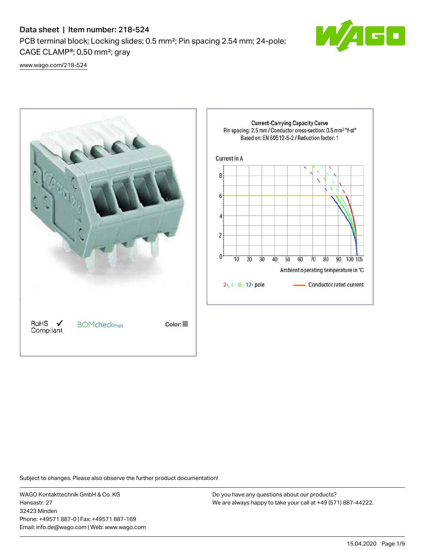PCB terminal block; Locking slides; 0.5 mm²; Pin spacing 2.54 mm; 24-pole; CAGE CLAMP®; 0,50 mm²; gray



[www.wago.com/218-524](http://www.wago.com/218-524)



Subject to changes. Please also observe the further product documentation!

WAGO Kontakttechnik GmbH & Co. KG Hansastr. 27 32423 Minden Phone: +49571 887-0 | Fax: +49571 887-169 Email: info.de@wago.com | Web: www.wago.com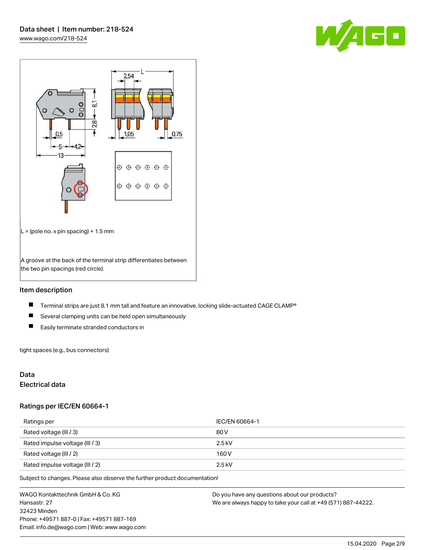



## Item description

- $\blacksquare$ Terminal strips are just 8.1 mm tall and feature an innovative, locking slide-actuated CAGE CLAMP®
- $\blacksquare$ Several clamping units can be held open simultaneously
- $\blacksquare$ Easily terminate stranded conductors in

tight spaces (e.g., bus connectors)

## Data

## Electrical data

#### Ratings per IEC/EN 60664-1

| Ratings per                     | IEC/EN 60664-1 |
|---------------------------------|----------------|
| Rated voltage (III / 3)         | 80 V           |
| Rated impulse voltage (III / 3) | $2.5$ kV       |
| Rated voltage (III / 2)         | 160 V          |
| Rated impulse voltage (III / 2) | $2.5$ kV       |

Subject to changes. Please also observe the further product documentation!

WAGO Kontakttechnik GmbH & Co. KG Hansastr. 27 32423 Minden Phone: +49571 887-0 | Fax: +49571 887-169 Email: info.de@wago.com | Web: www.wago.com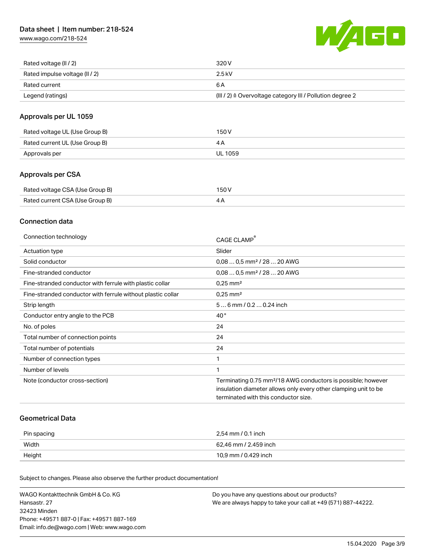[www.wago.com/218-524](http://www.wago.com/218-524)



| Rated voltage (II / 2)         | 320 V                                                                 |
|--------------------------------|-----------------------------------------------------------------------|
| Rated impulse voltage (II / 2) | 2.5 kV                                                                |
| Rated current                  | 6 A                                                                   |
| Legend (ratings)               | $(III / 2)$ $\triangle$ Overvoltage category III / Pollution degree 2 |

## Approvals per UL 1059

| Rated voltage UL (Use Group B) | 150 V   |
|--------------------------------|---------|
| Rated current UL (Use Group B) |         |
| Approvals per                  | UL 1059 |

## Approvals per CSA

| Rated voltage CSA (Use Group B) | 150 V |
|---------------------------------|-------|
| Rated current CSA (Use Group B) | 4Α    |

## Connection data

| Connection technology                                       | CAGE CLAMP                                                               |
|-------------------------------------------------------------|--------------------------------------------------------------------------|
| Actuation type                                              | Slider                                                                   |
| Solid conductor                                             | $0.080.5$ mm <sup>2</sup> / 28  20 AWG                                   |
| Fine-stranded conductor                                     | $0,080,5$ mm <sup>2</sup> / 28  20 AWG                                   |
| Fine-stranded conductor with ferrule with plastic collar    | $0.25$ mm <sup>2</sup>                                                   |
| Fine-stranded conductor with ferrule without plastic collar | $0.25$ mm <sup>2</sup>                                                   |
| Strip length                                                | 56 mm / 0.2 0.24 inch                                                    |
| Conductor entry angle to the PCB                            | $40^{\circ}$                                                             |
| No. of poles                                                | 24                                                                       |
| Total number of connection points                           | 24                                                                       |
| Total number of potentials                                  | 24                                                                       |
| Number of connection types                                  | 1                                                                        |
| Number of levels                                            |                                                                          |
| Note (conductor cross-section)                              | Terminating 0.75 mm <sup>2</sup> /18 AWG conductors is possible; however |
|                                                             | insulation diameter allows only every other clamping unit to be          |
|                                                             | terminated with this conductor size.                                     |

#### Geometrical Data

| Pin spacing | 2,54 mm / 0.1 inch    |
|-------------|-----------------------|
| Width       | 62,46 mm / 2.459 inch |
| Height      | 10,9 mm / 0.429 inch  |

Subject to changes. Please also observe the further product documentation!

| WAGO Kontakttechnik GmbH & Co. KG           | Do you have any questions about our products?                 |
|---------------------------------------------|---------------------------------------------------------------|
| Hansastr. 27                                | We are always happy to take your call at +49 (571) 887-44222. |
| 32423 Minden                                |                                                               |
| Phone: +49571 887-01 Fax: +49571 887-169    |                                                               |
| Email: info.de@wago.com   Web: www.wago.com |                                                               |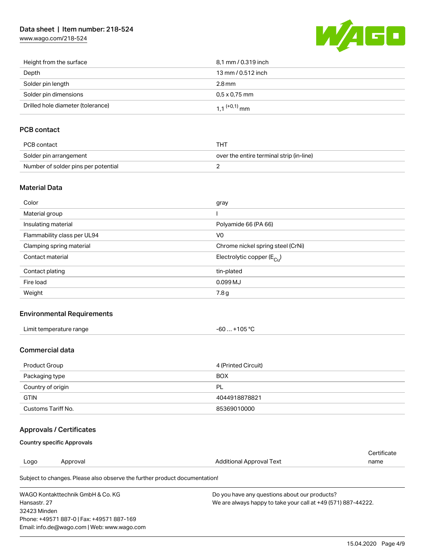[www.wago.com/218-524](http://www.wago.com/218-524)



| Height from the surface           | 8,1 mm / 0.319 inch        |
|-----------------------------------|----------------------------|
| Depth                             | 13 mm / 0.512 inch         |
| Solder pin length                 | $2.8 \,\mathrm{mm}$        |
| Solder pin dimensions             | $0.5 \times 0.75$ mm       |
| Drilled hole diameter (tolerance) | $1.1$ <sup>(+0,1)</sup> mm |

## PCB contact

| PCB contact                         | тнт                                      |
|-------------------------------------|------------------------------------------|
| Solder pin arrangement              | over the entire terminal strip (in-line) |
| Number of solder pins per potential |                                          |

#### Material Data

| Color                       | gray                                  |
|-----------------------------|---------------------------------------|
| Material group              |                                       |
| Insulating material         | Polyamide 66 (PA 66)                  |
| Flammability class per UL94 | V <sub>0</sub>                        |
| Clamping spring material    | Chrome nickel spring steel (CrNi)     |
| Contact material            | Electrolytic copper $(E_{\text{Cl}})$ |
| Contact plating             | tin-plated                            |
| Fire load                   | 0.099 MJ                              |
| Weight                      | 7.8 g                                 |

## Environmental Requirements

| Limit temperature range<br>. | $+105 °C$<br>-60 |
|------------------------------|------------------|
|------------------------------|------------------|

#### Commercial data

| Product Group      | 4 (Printed Circuit) |
|--------------------|---------------------|
| Packaging type     | <b>BOX</b>          |
| Country of origin  | <b>PL</b>           |
| <b>GTIN</b>        | 4044918878821       |
| Customs Tariff No. | 85369010000         |

## Approvals / Certificates

#### Country specific Approvals

Email: info.de@wago.com | Web: www.wago.com

|                                           |                                                                            |                                                               | Certificate |  |
|-------------------------------------------|----------------------------------------------------------------------------|---------------------------------------------------------------|-------------|--|
| Logo                                      | Approval                                                                   | Additional Approval Text                                      | name        |  |
|                                           | Subject to changes. Please also observe the further product documentation! |                                                               |             |  |
| WAGO Kontakttechnik GmbH & Co. KG         |                                                                            | Do you have any questions about our products?                 |             |  |
| Hansastr, 27                              |                                                                            | We are always happy to take your call at +49 (571) 887-44222. |             |  |
| 32423 Minden                              |                                                                            |                                                               |             |  |
| Phone: +49571 887-0   Fax: +49571 887-169 |                                                                            |                                                               |             |  |

15.04.2020 Page 4/9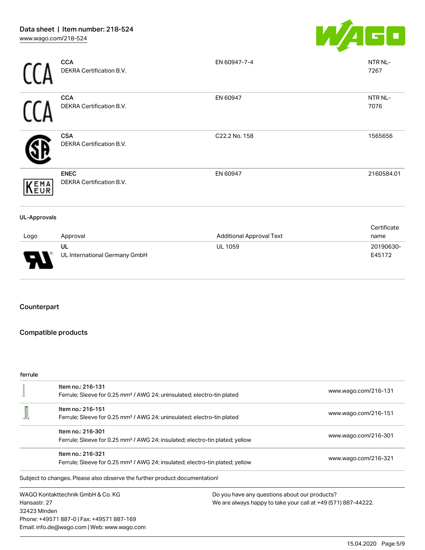

|                     | <b>CCA</b><br>DEKRA Certification B.V.  | EN 60947-7-4                    | NTR NL-<br>7267     |
|---------------------|-----------------------------------------|---------------------------------|---------------------|
|                     | <b>CCA</b><br>DEKRA Certification B.V.  | EN 60947                        | NTR NL-<br>7076     |
|                     | <b>CSA</b><br>DEKRA Certification B.V.  | C22.2 No. 158                   | 1565656             |
| KEMA                | <b>ENEC</b><br>DEKRA Certification B.V. | EN 60947                        | 2160584.01          |
| <b>UL-Approvals</b> |                                         |                                 |                     |
| Logo                | Approval                                | <b>Additional Approval Text</b> | Certificate<br>name |
| J                   | UL<br>UL International Germany GmbH     | <b>UL 1059</b>                  | 20190630-<br>E45172 |

## Counterpart

Ш

## Compatible products

#### ferrule

|              | Item no.: 216-131                                                                        |                                                               | www.wago.com/216-131 |  |
|--------------|------------------------------------------------------------------------------------------|---------------------------------------------------------------|----------------------|--|
|              | Ferrule; Sleeve for 0.25 mm <sup>2</sup> / AWG 24; uninsulated; electro-tin plated       |                                                               |                      |  |
|              | Item no.: 216-151                                                                        |                                                               | www.wago.com/216-151 |  |
|              | Ferrule; Sleeve for 0.25 mm <sup>2</sup> / AWG 24; uninsulated; electro-tin plated       |                                                               |                      |  |
|              | Item no.: 216-301                                                                        |                                                               |                      |  |
|              | Ferrule; Sleeve for 0.25 mm <sup>2</sup> / AWG 24; insulated; electro-tin plated; yellow | www.wago.com/216-301                                          |                      |  |
|              | Item no.: 216-321                                                                        |                                                               |                      |  |
|              | Ferrule; Sleeve for 0.25 mm <sup>2</sup> / AWG 24; insulated; electro-tin plated; yellow | www.wago.com/216-321                                          |                      |  |
|              | Subject to changes. Please also observe the further product documentation!               |                                                               |                      |  |
|              | WAGO Kontakttechnik GmbH & Co. KG                                                        | Do you have any questions about our products?                 |                      |  |
| Hansastr, 27 |                                                                                          | We are always happy to take your call at +49 (571) 887-44222. |                      |  |
| 32423 Minden |                                                                                          |                                                               |                      |  |
|              | Phone: +49571 887-0   Fax: +49571 887-169                                                |                                                               |                      |  |
|              | Email: info.de@wago.com   Web: www.wago.com                                              |                                                               |                      |  |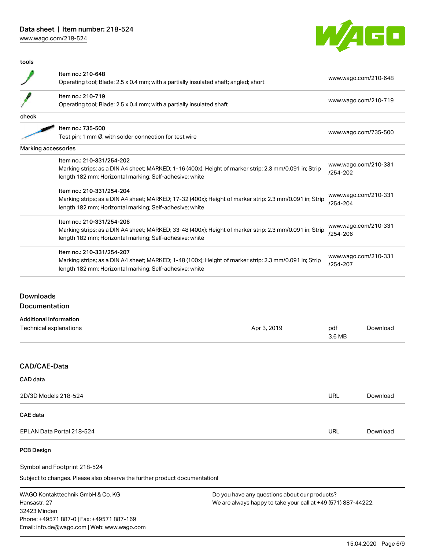[www.wago.com/218-524](http://www.wago.com/218-524)

32423 Minden

Phone: +49571 887-0 | Fax: +49571 887-169 Email: info.de@wago.com | Web: www.wago.com



| tools                                             |                                                                                                                                                                                                 |                                                                                                                |                                  |                      |
|---------------------------------------------------|-------------------------------------------------------------------------------------------------------------------------------------------------------------------------------------------------|----------------------------------------------------------------------------------------------------------------|----------------------------------|----------------------|
|                                                   | Item no.: 210-648<br>Operating tool; Blade: 2.5 x 0.4 mm; with a partially insulated shaft; angled; short                                                                                       |                                                                                                                |                                  | www.wago.com/210-648 |
|                                                   | Item no.: 210-719<br>Operating tool; Blade: 2.5 x 0.4 mm; with a partially insulated shaft                                                                                                      |                                                                                                                | www.wago.com/210-719             |                      |
| check                                             |                                                                                                                                                                                                 |                                                                                                                |                                  |                      |
|                                                   | Item no.: 735-500                                                                                                                                                                               |                                                                                                                |                                  |                      |
|                                                   | Test pin; 1 mm Ø; with solder connection for test wire                                                                                                                                          |                                                                                                                | www.wago.com/735-500             |                      |
|                                                   | Marking accessories                                                                                                                                                                             |                                                                                                                |                                  |                      |
|                                                   | Item no.: 210-331/254-202<br>Marking strips; as a DIN A4 sheet; MARKED; 1-16 (400x); Height of marker strip: 2.3 mm/0.091 in; Strip<br>length 182 mm; Horizontal marking; Self-adhesive; white  |                                                                                                                | www.wago.com/210-331<br>/254-202 |                      |
|                                                   | Item no.: 210-331/254-204<br>Marking strips; as a DIN A4 sheet; MARKED; 17-32 (400x); Height of marker strip: 2.3 mm/0.091 in; Strip<br>length 182 mm; Horizontal marking; Self-adhesive; white |                                                                                                                | www.wago.com/210-331<br>/254-204 |                      |
|                                                   | Item no.: 210-331/254-206<br>Marking strips; as a DIN A4 sheet; MARKED; 33-48 (400x); Height of marker strip: 2.3 mm/0.091 in; Strip<br>length 182 mm; Horizontal marking; Self-adhesive; white |                                                                                                                | www.wago.com/210-331<br>/254-206 |                      |
|                                                   | Item no.: 210-331/254-207<br>Marking strips; as a DIN A4 sheet; MARKED; 1-48 (100x); Height of marker strip: 2.3 mm/0.091 in; Strip<br>length 182 mm; Horizontal marking; Self-adhesive; white  |                                                                                                                | www.wago.com/210-331<br>/254-207 |                      |
| <b>Downloads</b><br>Documentation                 | <b>Additional Information</b><br>Technical explanations                                                                                                                                         | Apr 3, 2019                                                                                                    | pdf<br>3.6 MB                    | Download             |
| CAD/CAE-Data                                      |                                                                                                                                                                                                 |                                                                                                                |                                  |                      |
| <b>CAD</b> data                                   |                                                                                                                                                                                                 |                                                                                                                |                                  |                      |
|                                                   | 2D/3D Models 218-524                                                                                                                                                                            |                                                                                                                | <b>URL</b>                       | Download             |
| <b>CAE</b> data                                   |                                                                                                                                                                                                 |                                                                                                                |                                  |                      |
| EPLAN Data Portal 218-524                         |                                                                                                                                                                                                 |                                                                                                                | <b>URL</b>                       | Download             |
| <b>PCB Design</b>                                 |                                                                                                                                                                                                 |                                                                                                                |                                  |                      |
|                                                   | Symbol and Footprint 218-524                                                                                                                                                                    |                                                                                                                |                                  |                      |
|                                                   | Subject to changes. Please also observe the further product documentation!                                                                                                                      |                                                                                                                |                                  |                      |
| WAGO Kontakttechnik GmbH & Co. KG<br>Hansastr. 27 |                                                                                                                                                                                                 | Do you have any questions about our products?<br>We are always happy to take your call at +49 (571) 887-44222. |                                  |                      |

15.04.2020 Page 6/9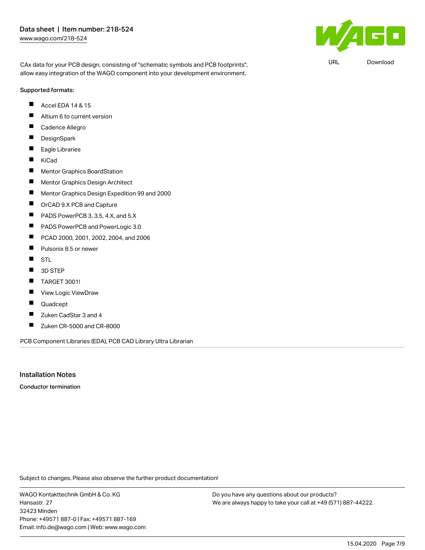$\mathbf{F}$ 

URL [Download](https://www.wago.com/de/d/UltraLibrarian_URLS_218-524)

CAx data for your PCB design, consisting of "schematic symbols and PCB footprints", allow easy integration of the WAGO component into your development environment.

#### Supported formats:

- Accel EDA 14 & 15 П
- $\blacksquare$ Altium 6 to current version
- Г Cadence Allegro
- $\blacksquare$ **DesignSpark**
- $\blacksquare$ Eagle Libraries
- $\blacksquare$ KiCad
- $\blacksquare$ Mentor Graphics BoardStation
- П Mentor Graphics Design Architect
- $\blacksquare$ Mentor Graphics Design Expedition 99 and 2000
- $\blacksquare$ OrCAD 9.X PCB and Capture
- П PADS PowerPCB 3, 3.5, 4.X, and 5.X
- $\blacksquare$ PADS PowerPCB and PowerLogic 3.0
- П PCAD 2000, 2001, 2002, 2004, and 2006
- $\blacksquare$ Pulsonix 8.5 or newer
- $\blacksquare$ STL
- $\blacksquare$ 3D STEP
- П TARGET 3001!
- П View Logic ViewDraw
- $\blacksquare$ Quadcept
- $\blacksquare$ Zuken CadStar 3 and 4
- $\blacksquare$ Zuken CR-5000 and CR-8000

PCB Component Libraries (EDA), PCB CAD Library Ultra Librarian

## Installation Notes

Conductor termination

Subject to changes. Please also observe the further product documentation!

WAGO Kontakttechnik GmbH & Co. KG Hansastr. 27 32423 Minden Phone: +49571 887-0 | Fax: +49571 887-169 Email: info.de@wago.com | Web: www.wago.com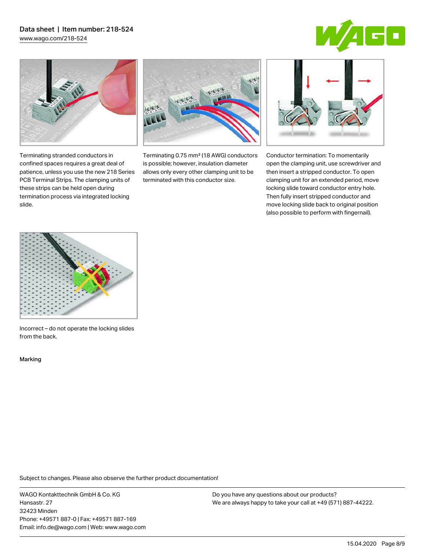[www.wago.com/218-524](http://www.wago.com/218-524)





Terminating stranded conductors in confined spaces requires a great deal of patience, unless you use the new 218 Series PCB Terminal Strips. The clamping units of these strips can be held open during termination process via integrated locking



Terminating 0.75 mm² (18 AWG) conductors is possible; however, insulation diameter allows only every other clamping unit to be terminated with this conductor size.



Conductor termination: To momentarily open the clamping unit, use screwdriver and then insert a stripped conductor. To open clamping unit for an extended period, move locking slide toward conductor entry hole. Then fully insert stripped conductor and move locking slide back to original position (also possible to perform with fingernail).



Incorrect – do not operate the locking slides from the back.

Marking

slide.

Subject to changes. Please also observe the further product documentation!

WAGO Kontakttechnik GmbH & Co. KG Hansastr. 27 32423 Minden Phone: +49571 887-0 | Fax: +49571 887-169 Email: info.de@wago.com | Web: www.wago.com